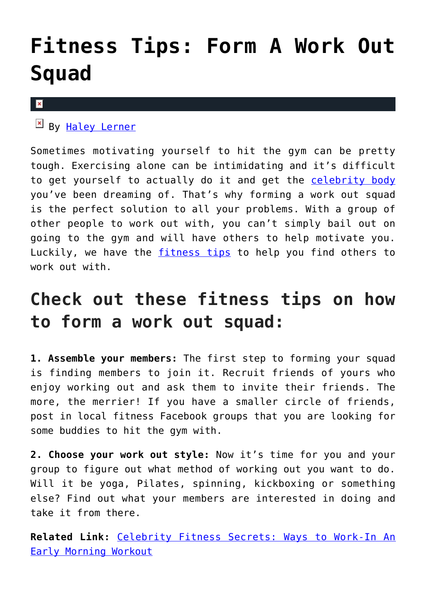## **[Fitness Tips: Form A Work Out](https://cupidspulse.com/125453/fitness-tips-work-out-squad/) [Squad](https://cupidspulse.com/125453/fitness-tips-work-out-squad/)**

## $\pmb{\times}$

By [Haley Lerner](http://cupidspulse.com/126165/haley-lerner/)

Sometimes motivating yourself to hit the gym can be pretty tough. Exercising alone can be intimidating and it's difficult to get yourself to actually do it and get the [celebrity body](http://cupidspulse.com/fitness/) you've been dreaming of. That's why forming a work out squad is the perfect solution to all your problems. With a group of other people to work out with, you can't simply bail out on going to the gym and will have others to help motivate you. Luckily, we have the [fitness tips](http://cupidspulse.com/fitness/) to help you find others to work out with.

## **Check out these fitness tips on how to form a work out squad:**

**1. Assemble your members:** The first step to forming your squad is finding members to join it. Recruit friends of yours who enjoy working out and ask them to invite their friends. The more, the merrier! If you have a smaller circle of friends, post in local fitness Facebook groups that you are looking for some buddies to hit the gym with.

**2. Choose your work out style:** Now it's time for you and your group to figure out what method of working out you want to do. Will it be yoga, Pilates, spinning, kickboxing or something else? Find out what your members are interested in doing and take it from there.

**Related Link:** [Celebrity Fitness Secrets: Ways to Work-In An](http://cupidspulse.com/123757/celebrity-fitness-secrets-work-in-early-morning-workout/) [Early Morning Workout](http://cupidspulse.com/123757/celebrity-fitness-secrets-work-in-early-morning-workout/)